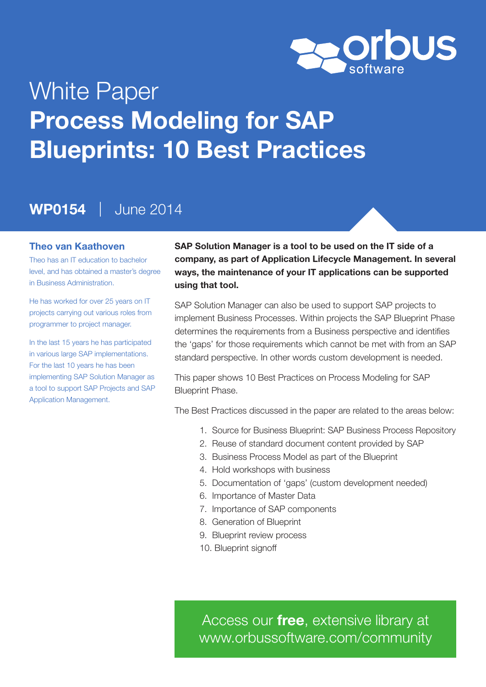

# White Paper Process Modeling for SAP Blueprints: 10 Best Practices

### WP0154 | June 2014

#### Theo van Kaathoven

Theo has an IT education to bachelor level, and has obtained a master's degree in Business Administration.

He has worked for over 25 years on IT projects carrying out various roles from programmer to project manager.

In the last 15 years he has participated in various large SAP implementations. For the last 10 years he has been implementing SAP Solution Manager as a tool to support SAP Projects and SAP Application Management.

SAP Solution Manager is a tool to be used on the IT side of a company, as part of Application Lifecycle Management. In several ways, the maintenance of your IT applications can be supported using that tool.

SAP Solution Manager can also be used to support SAP projects to implement Business Processes. Within projects the SAP Blueprint Phase determines the requirements from a Business perspective and identifies the 'gaps' for those requirements which cannot be met with from an SAP standard perspective. In other words custom development is needed.

This paper shows 10 Best Practices on Process Modeling for SAP Blueprint Phase.

The Best Practices discussed in the paper are related to the areas below:

- 1. Source for Business Blueprint: SAP Business Process Repository
- 2. Reuse of standard document content provided by SAP
- 3. Business Process Model as part of the Blueprint
- 4. Hold workshops with business
- 5. Documentation of 'gaps' (custom development needed)
- 6. Importance of Master Data
- 7. Importance of SAP components
- 8. Generation of Blueprint
- 9. Blueprint review process
- 10. Blueprint signoff

Access our *free*, extensive library at <www.orbussoftware.com/community>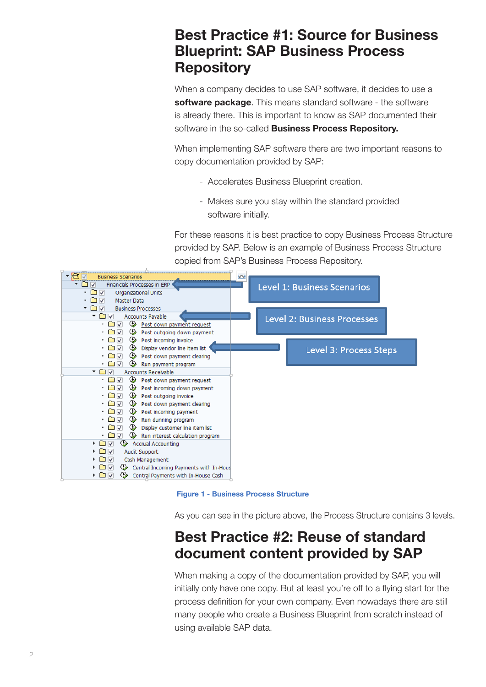### Best Practice #1: Source for Business Blueprint: SAP Business Process **Repository**

When a company decides to use SAP software, it decides to use a software package. This means standard software - the software is already there. This is important to know as SAP documented their software in the so-called **Business Process Repository.** 

When implementing SAP software there are two important reasons to copy documentation provided by SAP:

- Accelerates Business Blueprint creation.
- Makes sure you stay within the standard provided software initially.

For these reasons it is best practice to copy Business Process Structure provided by SAP. Below is an example of Business Process Structure copied from SAP's Business Process Repository.



Figure 1 - Business Process Structure

As you can see in the picture above, the Process Structure contains 3 levels.

# Best Practice #2: Reuse of standard document content provided by SAP

When making a copy of the documentation provided by SAP, you will initially only have one copy. But at least you're off to a flying start for the process definition for your own company. Even nowadays there are still many people who create a Business Blueprint from scratch instead of using available SAP data.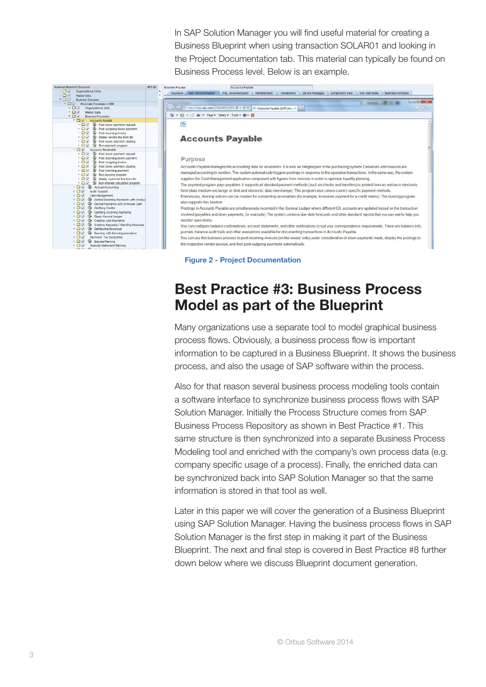In SAP Solution Manager you will find useful material for creating a Business Blueprint when using transaction SOLAR01 and looking in the Project Documentation tab. This material can typically be found on Business Process level. Below is an example.



|<br>| Structure / Gen. Documentation | Proj. Documentation | Administration | Transactions | Service Messages | Component View | End User Roles | Business Functions |  $\boxed{\circ 0}$ Mill Lines BUS  $\overline{D}$  -  $\overline{C}$  X  $\overline{C}$  Ac ◎ ▼ 同 ▼ □ 前 ▼ Page ▼ Safety ▼ Tools ▼ 図 ▼ 図  $\overline{a}$ **Accounts Payable** Purpose Accounts Payable manages the accounting data for all vendors. It is also an integral part of the purchasing system: Deliveries and invoices are managed according to vendors. The system automatically triggers postings in response to the operative transactions. In the same way, the system supplies the Cash Management application component with figures from invoices in order to optimize liquidity planning The payment program pays payables, it supports all standard payment methods (such as checks and transfers) in printed form as well as in electronic form (data medium exchange on disk and electronic data interchange). This program also covers country-specific payment methods. If necessary, dunning notices can be created for outstanding receivables (for example, to receive payment for a credit memo). The dun also supports this function. Postings in Accounts Payable are simultaneously recorded in the General Ledger where different G/L accounts are updated based on the tran involved (payables and down payments, for example). The system contains due date forecasts and other standard reports that you can use to help you monitor open items You can configure balance confirmations account statements, and other notifications to suit your correspondence requirements. There are balance lists journals, balance audit trails and other evaluations available for documenting transactions in Accounts Payable .<br>You can use this business process to post incoming invoices (on the vendor side) under consideration of down payments made, display the postings to the respective vendor accoun, and then post outgoing payments automatically.

Figure 2 - Project Documentation

# Best Practice #3: Business Process Model as part of the Blueprint

Many organizations use a separate tool to model graphical business process flows. Obviously, a business process flow is important information to be captured in a Business Blueprint. It shows the business process, and also the usage of SAP software within the process.

Also for that reason several business process modeling tools contain a software interface to synchronize business process flows with SAP Solution Manager. Initially the Process Structure comes from SAP Business Process Repository as shown in Best Practice #1. This same structure is then synchronized into a separate Business Process Modeling tool and enriched with the company's own process data (e.g. company specific usage of a process). Finally, the enriched data can be synchronized back into SAP Solution Manager so that the same information is stored in that tool as well.

Later in this paper we will cover the generation of a Business Blueprint using SAP Solution Manager. Having the business process flows in SAP Solution Manager is the first step in making it part of the Business Blueprint. The next and final step is covered in Best Practice #8 further down below where we discuss Blueprint document generation.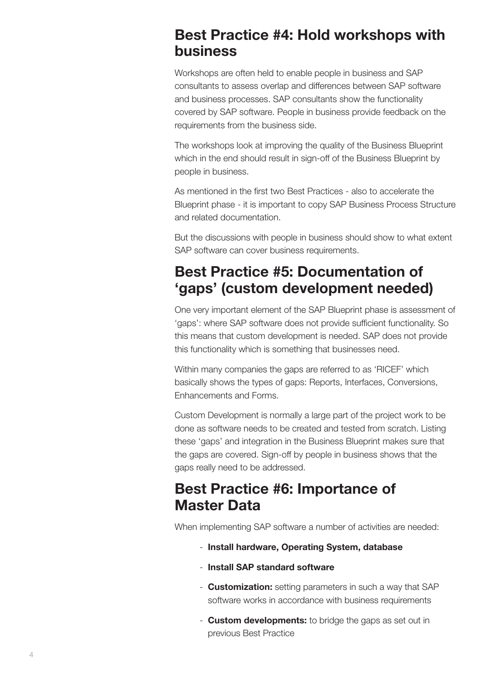#### Best Practice #4: Hold workshops with business

Workshops are often held to enable people in business and SAP consultants to assess overlap and differences between SAP software and business processes. SAP consultants show the functionality covered by SAP software. People in business provide feedback on the requirements from the business side.

The workshops look at improving the quality of the Business Blueprint which in the end should result in sign-off of the Business Blueprint by people in business.

As mentioned in the first two Best Practices - also to accelerate the Blueprint phase - it is important to copy SAP Business Process Structure and related documentation.

But the discussions with people in business should show to what extent SAP software can cover business requirements.

# Best Practice #5: Documentation of 'gaps' (custom development needed)

One very important element of the SAP Blueprint phase is assessment of 'gaps': where SAP software does not provide sufficient functionality. So this means that custom development is needed. SAP does not provide this functionality which is something that businesses need.

Within many companies the gaps are referred to as 'RICEF' which basically shows the types of gaps: Reports, Interfaces, Conversions, Enhancements and Forms.

Custom Development is normally a large part of the project work to be done as software needs to be created and tested from scratch. Listing these 'gaps' and integration in the Business Blueprint makes sure that the gaps are covered. Sign-off by people in business shows that the gaps really need to be addressed.

# Best Practice #6: Importance of Master Data

When implementing SAP software a number of activities are needed:

- Install hardware, Operating System, database
- Install SAP standard software
- **Customization:** setting parameters in such a way that SAP software works in accordance with business requirements
- **Custom developments:** to bridge the gaps as set out in previous Best Practice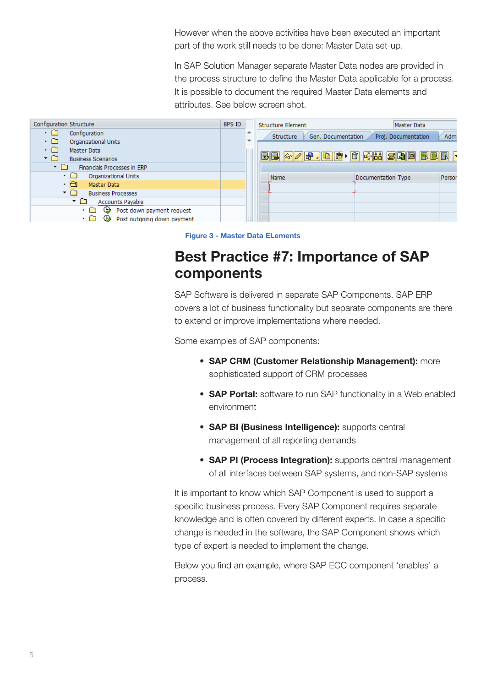However when the above activities have been executed an important part of the work still needs to be done: Master Data set-up.

In SAP Solution Manager separate Master Data nodes are provided in the process structure to define the Master Data applicable for a process. It is possible to document the required Master Data elements and attributes. See below screen shot.

| Configuration Structure                                                                                       | BPS ID |                               | <b>Structure Element</b>        | Master Data                  |
|---------------------------------------------------------------------------------------------------------------|--------|-------------------------------|---------------------------------|------------------------------|
| ۰□<br>Configuration<br>۰□<br>Organizational Units<br>ים י<br>Master Data<br>ר∩ ▼<br><b>Business Scenarios</b> |        | ∸<br>$\overline{\phantom{a}}$ | Gen. Documentation<br>Structure | Admi<br>Proj. Documentation  |
| ר∩ ▼<br>Financials Processes in ERP                                                                           |        |                               |                                 |                              |
| ۰□<br>Organizational Units                                                                                    |        |                               | Name                            | Person<br>Documentation Type |
| • ব<br>Master Data                                                                                            |        |                               |                                 |                              |
| ▾О<br><b>Business Processes</b>                                                                               |        |                               |                                 |                              |
| ▾О<br>Accounts Payable                                                                                        |        |                               |                                 |                              |
| <b>♦ Post down payment request</b><br>∙ ∩<br>Post outgoing down payment<br>Œ.<br>$\cdot$ $\Gamma$             |        | $1 - 1$                       |                                 |                              |



# Best Practice #7: Importance of SAP components

SAP Software is delivered in separate SAP Components. SAP ERP covers a lot of business functionality but separate components are there to extend or improve implementations where needed.

Some examples of SAP components:

- SAP CRM (Customer Relationship Management): more sophisticated support of CRM processes
- **SAP Portal:** software to run SAP functionality in a Web enabled environment
- SAP BI (Business Intelligence): supports central management of all reporting demands
- SAP PI (Process Integration): supports central management of all interfaces between SAP systems, and non-SAP systems

It is important to know which SAP Component is used to support a specific business process. Every SAP Component requires separate knowledge and is often covered by different experts. In case a specific change is needed in the software, the SAP Component shows which type of expert is needed to implement the change.

Below you find an example, where SAP ECC component 'enables' a process.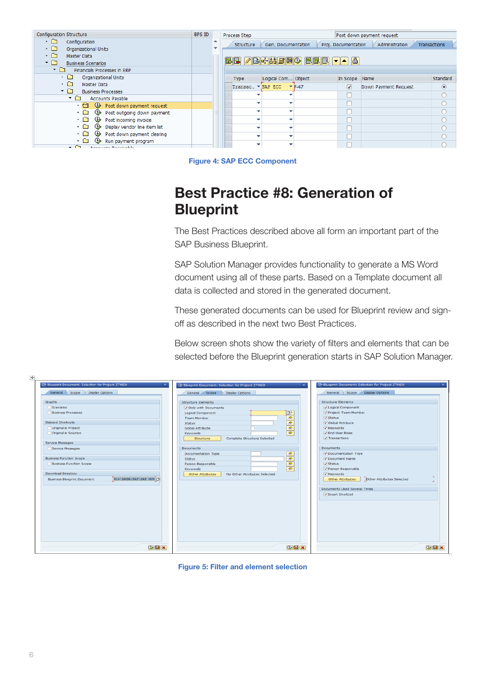| Configuration Structure                                          | BPS ID |                          | Process Step     |                    |                        |                         | Post down payment request |                  |
|------------------------------------------------------------------|--------|--------------------------|------------------|--------------------|------------------------|-------------------------|---------------------------|------------------|
| ۰ ت<br>Configuration<br>$\cdot$ a<br>Organizational Units        |        | $\overline{\phantom{a}}$ | <b>Structure</b> | Gen. Documentation |                        | Proj. Documentation     | Administration            | Transactions     |
| $\cdot$ $\Box$<br>Master Data<br>▾◻<br><b>Business Scenarios</b> |        |                          |                  |                    | $E$ e / Behise) een va |                         |                           |                  |
| י ⊏<br><b>Financials Processes in ERP</b>                        |        |                          |                  |                    |                        |                         |                           |                  |
| ۰ ت<br>Organizational Units                                      |        |                          | <b>Type</b>      | Logical Com Object |                        | In Scope Name           |                           | Standard         |
| ∙ ∩<br>Master Data                                               |        |                          | Transac v        | SAP ECC            | $F-47$                 | $\overline{\mathsf{v}}$ | Down Payment Request      | $\circledbullet$ |
| ▾◠<br><b>Business Processes</b><br>▾◻<br><b>Accounts Payable</b> |        |                          |                  |                    |                        |                         |                           |                  |
| $\cdot$ a<br><b>E</b> Post down payment request                  |        |                          |                  |                    |                        |                         |                           |                  |
| ⊕<br>Post outgoing down payment<br>. O                           |        |                          |                  |                    |                        |                         |                           |                  |
| ⊕<br>• ≏<br>Post incoming invoice                                |        |                          |                  |                    |                        |                         |                           |                  |
| ⊕<br>• ∩<br>Display vendor line item list                        |        |                          |                  |                    |                        |                         |                           |                  |
| ⊕<br>∙ ∩<br>Post down payment clearing                           |        |                          |                  |                    |                        |                         |                           |                  |
| ⊕<br>. L<br>Run payment program<br>$ \cap$<br>Accounts Bocokoble |        |                          |                  |                    |                        |                         |                           |                  |

Figure 4: SAP ECC Component

# Best Practice #8: Generation of Blueprint

The Best Practices described above all form an important part of the SAP Business Blueprint.

SAP Solution Manager provides functionality to generate a MS Word document using all of these parts. Based on a Template document all data is collected and stored in the generated document.

These generated documents can be used for Blueprint review and signoff as described in the next two Best Practices.

Below screen shots show the variety of filters and elements that can be selected before the Blueprint generation starts in SAP Solution Manager.

| मा                                                                                                                           |                                                                                                                                                                           |                                                                                                                                                          |
|------------------------------------------------------------------------------------------------------------------------------|---------------------------------------------------------------------------------------------------------------------------------------------------------------------------|----------------------------------------------------------------------------------------------------------------------------------------------------------|
| G Blueprint Document: Selection for Project ZTHEO                                                                            | E Blueprint Document: Selection for Project ZTHEO<br>$\overline{\mathbf{x}}$                                                                                              | G Blueprint Document: Selection for Project ZTHEO                                                                                                        |
| General Scope Display Options                                                                                                | General Scope<br><b>Display Options</b>                                                                                                                                   | General Scope Display Options                                                                                                                            |
| Graphic<br>Scenarios<br><b>Business Processes</b><br><b>Disband Shortcuts</b><br>Original in Project<br>Original in Solution | <b>Structure Elements</b><br>Only with Documents<br>骨<br>Logical Component<br><b>Team Member</b><br>$\frac{1}{\sqrt{2}}$<br><b>Status</b><br>Global Attribute<br>Keywords | <b>Structure Elements</b><br><b>V</b> Logical Component<br>Project Team Member<br>$\sqrt{}$ Status<br>Global Attribute<br>V Keywords<br>V End User Roles |
| Service Messages<br>Service Messages                                                                                         | Complete Structure Selected<br>Structure<br><b>Documents</b>                                                                                                              | $\sqrt{}$ Transactions<br><b>Documents</b>                                                                                                               |
| <b>Business Function Scope</b><br><b>Business Function Scope</b>                                                             | $\Rightarrow$<br>Documentation Type<br>$-1999$<br><b>Status</b><br>Person Responsible                                                                                     | Oocumentation Type<br>O Document Name<br>$\triangledown$ Status                                                                                          |
| <b>Download Directory</b><br>H1\$\DATA\SAP\SAP GUI O<br><b>Business Blueprint Document</b>                                   | Keywords<br>No Other Attributes Selected<br>Other Attributes                                                                                                              | Person Responsible<br>V Keywords<br><b>Dther Attributes Selected</b><br>Other Attributes                                                                 |
|                                                                                                                              |                                                                                                                                                                           | <b>Documents Used Several Times</b><br>V Insert Shortcut                                                                                                 |
|                                                                                                                              |                                                                                                                                                                           |                                                                                                                                                          |
| $\bigoplus$ $\bigoplus$ $\big]$ x                                                                                            | $\bigcirc$ $\Box$ $\times$                                                                                                                                                | $\bigcirc$ $\Box$ $\times$                                                                                                                               |

Figure 5: Filter and element selection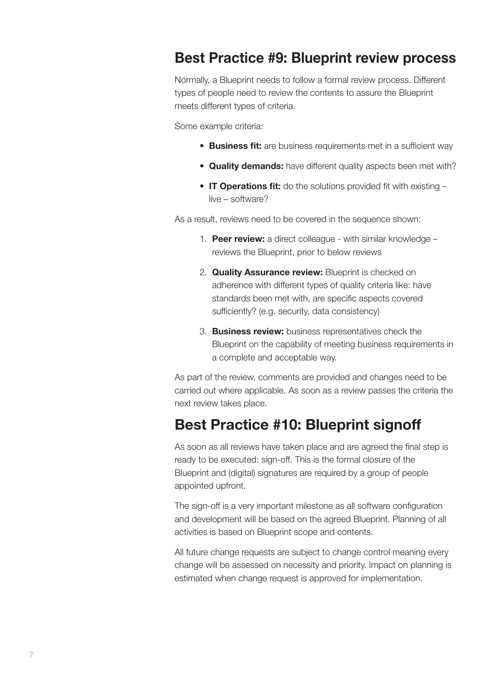#### Best Practice #9: Blueprint review process

Normally, a Blueprint needs to follow a formal review process. Different types of people need to review the contents to assure the Blueprint meets different types of criteria.

Some example criteria:

- Business fit: are business requirements met in a sufficient way
- Quality demands: have different quality aspects been met with?
- IT Operations fit: do the solutions provided fit with existing live – software?

As a result, reviews need to be covered in the sequence shown:

- 1. Peer review: a direct colleague with similar knowledge reviews the Blueprint, prior to below reviews
- 2. **Quality Assurance review:** Blueprint is checked on adherence with different types of quality criteria like: have standards been met with, are specific aspects covered sufficiently? (e.g. security, data consistency)
- 3. Business review: business representatives check the Blueprint on the capability of meeting business requirements in a complete and acceptable way.

As part of the review, comments are provided and changes need to be carried out where applicable. As soon as a review passes the criteria the next review takes place.

#### Best Practice #10: Blueprint signoff

As soon as all reviews have taken place and are agreed the final step is ready to be executed: sign-off. This is the formal closure of the Blueprint and (digital) signatures are required by a group of people appointed upfront.

The sign-off is a very important milestone as all software configuration and development will be based on the agreed Blueprint. Planning of all activities is based on Blueprint scope and contents.

All future change requests are subject to change control meaning every change will be assessed on necessity and priority. Impact on planning is estimated when change request is approved for implementation.